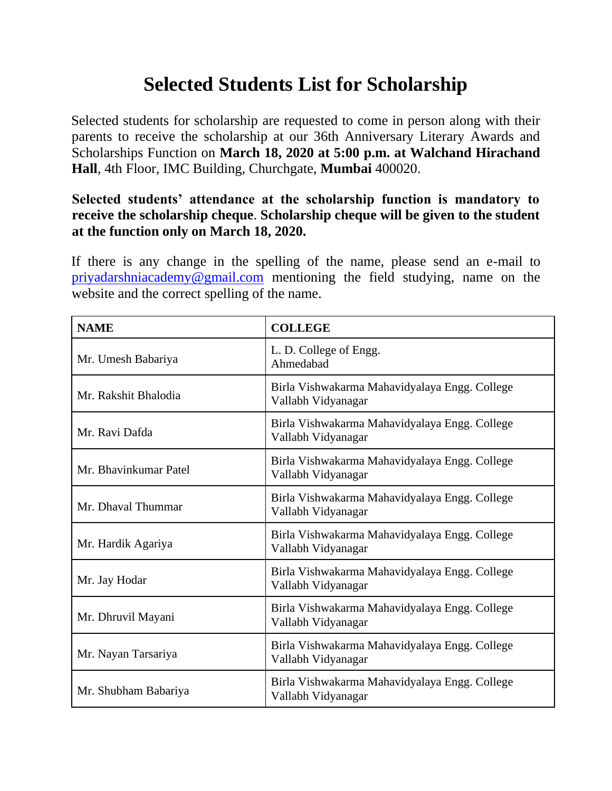## **Selected Students List for Scholarship**

Selected students for scholarship are requested to come in person along with their parents to receive the scholarship at our 36th Anniversary Literary Awards and Scholarships Function on **March 18, 2020 at 5:00 p.m. at Walchand Hirachand Hall**, 4th Floor, IMC Building, Churchgate, **Mumbai** 400020.

## **Selected students' attendance at the scholarship function is mandatory to receive the scholarship cheque**. **Scholarship cheque will be given to the student at the function only on March 18, 2020.**

If there is any change in the spelling of the name, please send an e-mail to priyadarshniacademy@gmail.com mentioning the field studying, name on the website and the correct spelling of the name.

| <b>NAME</b>           | <b>COLLEGE</b>                                                      |
|-----------------------|---------------------------------------------------------------------|
| Mr. Umesh Babariya    | L. D. College of Engg.<br>Ahmedabad                                 |
| Mr. Rakshit Bhalodia  | Birla Vishwakarma Mahavidyalaya Engg. College<br>Vallabh Vidyanagar |
| Mr. Ravi Dafda        | Birla Vishwakarma Mahavidyalaya Engg. College<br>Vallabh Vidyanagar |
| Mr. Bhavinkumar Patel | Birla Vishwakarma Mahavidyalaya Engg. College<br>Vallabh Vidyanagar |
| Mr. Dhaval Thummar    | Birla Vishwakarma Mahavidyalaya Engg. College<br>Vallabh Vidyanagar |
| Mr. Hardik Agariya    | Birla Vishwakarma Mahavidyalaya Engg. College<br>Vallabh Vidyanagar |
| Mr. Jay Hodar         | Birla Vishwakarma Mahavidyalaya Engg. College<br>Vallabh Vidyanagar |
| Mr. Dhruvil Mayani    | Birla Vishwakarma Mahavidyalaya Engg. College<br>Vallabh Vidyanagar |
| Mr. Nayan Tarsariya   | Birla Vishwakarma Mahavidyalaya Engg. College<br>Vallabh Vidyanagar |
| Mr. Shubham Babariya  | Birla Vishwakarma Mahavidyalaya Engg. College<br>Vallabh Vidyanagar |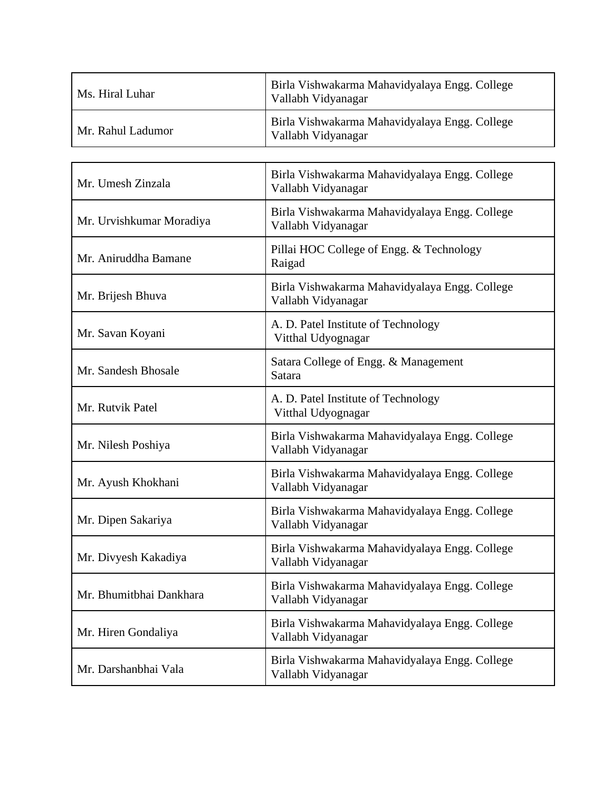| Ms. Hiral Luhar   | Birla Vishwakarma Mahavidyalaya Engg. College<br>Vallabh Vidyanagar |
|-------------------|---------------------------------------------------------------------|
| Mr. Rahul Ladumor | Birla Vishwakarma Mahavidyalaya Engg. College<br>Vallabh Vidyanagar |

| Mr. Umesh Zinzala        | Birla Vishwakarma Mahavidyalaya Engg. College<br>Vallabh Vidyanagar |
|--------------------------|---------------------------------------------------------------------|
| Mr. Urvishkumar Moradiya | Birla Vishwakarma Mahavidyalaya Engg. College<br>Vallabh Vidyanagar |
| Mr. Aniruddha Bamane     | Pillai HOC College of Engg. & Technology<br>Raigad                  |
| Mr. Brijesh Bhuva        | Birla Vishwakarma Mahavidyalaya Engg. College<br>Vallabh Vidyanagar |
| Mr. Savan Koyani         | A. D. Patel Institute of Technology<br>Vitthal Udyognagar           |
| Mr. Sandesh Bhosale      | Satara College of Engg. & Management<br>Satara                      |
| Mr. Rutvik Patel         | A. D. Patel Institute of Technology<br>Vitthal Udyognagar           |
| Mr. Nilesh Poshiya       | Birla Vishwakarma Mahavidyalaya Engg. College<br>Vallabh Vidyanagar |
| Mr. Ayush Khokhani       | Birla Vishwakarma Mahavidyalaya Engg. College<br>Vallabh Vidyanagar |
| Mr. Dipen Sakariya       | Birla Vishwakarma Mahavidyalaya Engg. College<br>Vallabh Vidyanagar |
| Mr. Divyesh Kakadiya     | Birla Vishwakarma Mahavidyalaya Engg. College<br>Vallabh Vidyanagar |
| Mr. Bhumitbhai Dankhara  | Birla Vishwakarma Mahavidyalaya Engg. College<br>Vallabh Vidyanagar |
| Mr. Hiren Gondaliya      | Birla Vishwakarma Mahavidyalaya Engg. College<br>Vallabh Vidyanagar |
| Mr. Darshanbhai Vala     | Birla Vishwakarma Mahavidyalaya Engg. College<br>Vallabh Vidyanagar |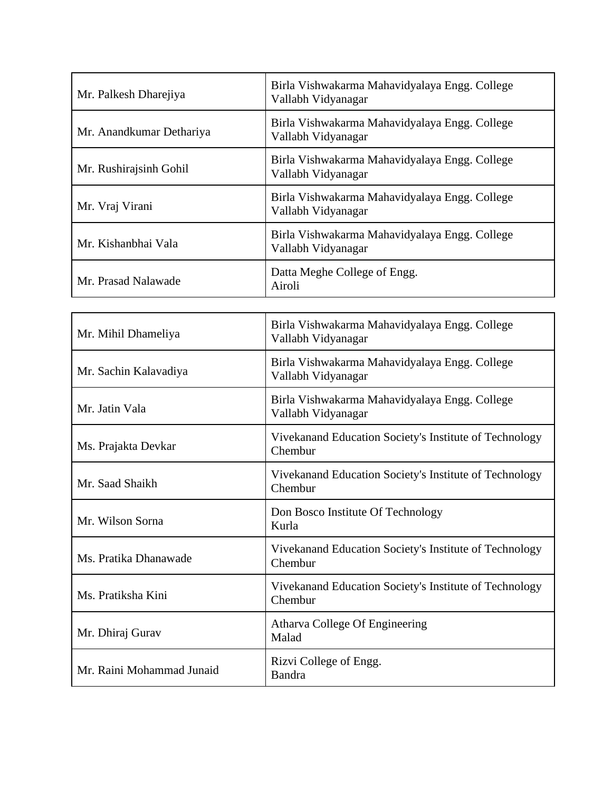| Mr. Palkesh Dharejiya    | Birla Vishwakarma Mahavidyalaya Engg. College<br>Vallabh Vidyanagar |
|--------------------------|---------------------------------------------------------------------|
| Mr. Anandkumar Dethariya | Birla Vishwakarma Mahavidyalaya Engg. College<br>Vallabh Vidyanagar |
| Mr. Rushirajsinh Gohil   | Birla Vishwakarma Mahavidyalaya Engg. College<br>Vallabh Vidyanagar |
| Mr. Vraj Virani          | Birla Vishwakarma Mahavidyalaya Engg. College<br>Vallabh Vidyanagar |
| Mr. Kishanbhai Vala      | Birla Vishwakarma Mahavidyalaya Engg. College<br>Vallabh Vidyanagar |
| Mr. Prasad Nalawade      | Datta Meghe College of Engg.<br>Airoli                              |

| Mr. Mihil Dhameliya       | Birla Vishwakarma Mahavidyalaya Engg. College<br>Vallabh Vidyanagar |
|---------------------------|---------------------------------------------------------------------|
| Mr. Sachin Kalavadiya     | Birla Vishwakarma Mahavidyalaya Engg. College<br>Vallabh Vidyanagar |
| Mr. Jatin Vala            | Birla Vishwakarma Mahavidyalaya Engg. College<br>Vallabh Vidyanagar |
| Ms. Prajakta Devkar       | Vivekanand Education Society's Institute of Technology<br>Chembur   |
| Mr. Saad Shaikh           | Vivekanand Education Society's Institute of Technology<br>Chembur   |
| Mr. Wilson Sorna          | Don Bosco Institute Of Technology<br>Kurla                          |
| Ms. Pratika Dhanawade     | Vivekanand Education Society's Institute of Technology<br>Chembur   |
| Ms. Pratiksha Kini        | Vivekanand Education Society's Institute of Technology<br>Chembur   |
| Mr. Dhiraj Gurav          | Atharva College Of Engineering<br>Malad                             |
| Mr. Raini Mohammad Junaid | Rizvi College of Engg.<br>Bandra                                    |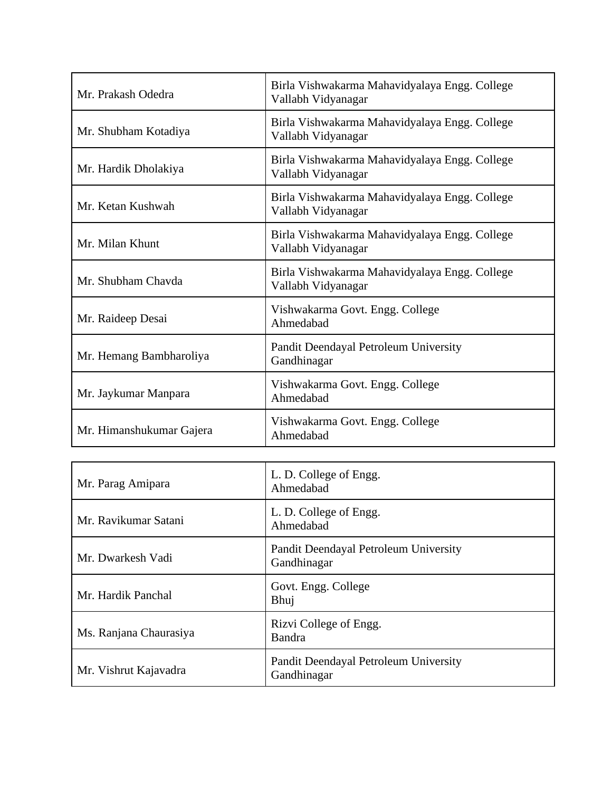| Mr. Prakash Odedra       | Birla Vishwakarma Mahavidyalaya Engg. College<br>Vallabh Vidyanagar |
|--------------------------|---------------------------------------------------------------------|
| Mr. Shubham Kotadiya     | Birla Vishwakarma Mahavidyalaya Engg. College<br>Vallabh Vidyanagar |
| Mr. Hardik Dholakiya     | Birla Vishwakarma Mahavidyalaya Engg. College<br>Vallabh Vidyanagar |
| Mr. Ketan Kushwah        | Birla Vishwakarma Mahavidyalaya Engg. College<br>Vallabh Vidyanagar |
| Mr. Milan Khunt          | Birla Vishwakarma Mahavidyalaya Engg. College<br>Vallabh Vidyanagar |
| Mr. Shubham Chayda       | Birla Vishwakarma Mahavidyalaya Engg. College<br>Vallabh Vidyanagar |
| Mr. Raideep Desai        | Vishwakarma Govt. Engg. College<br>Ahmedabad                        |
| Mr. Hemang Bambharoliya  | Pandit Deendayal Petroleum University<br>Gandhinagar                |
| Mr. Jaykumar Manpara     | Vishwakarma Govt. Engg. College<br>Ahmedabad                        |
| Mr. Himanshukumar Gajera | Vishwakarma Govt. Engg. College<br>Ahmedabad                        |

| Mr. Parag Amipara      | L. D. College of Engg.<br>Ahmedabad                  |
|------------------------|------------------------------------------------------|
| Mr. Ravikumar Satani   | L. D. College of Engg.<br>Ahmedabad                  |
| Mr. Dwarkesh Vadi      | Pandit Deendayal Petroleum University<br>Gandhinagar |
| Mr. Hardik Panchal     | Govt. Engg. College<br>Bhuj                          |
| Ms. Ranjana Chaurasiya | Rizvi College of Engg.<br>Bandra                     |
| Mr. Vishrut Kajavadra  | Pandit Deendayal Petroleum University<br>Gandhinagar |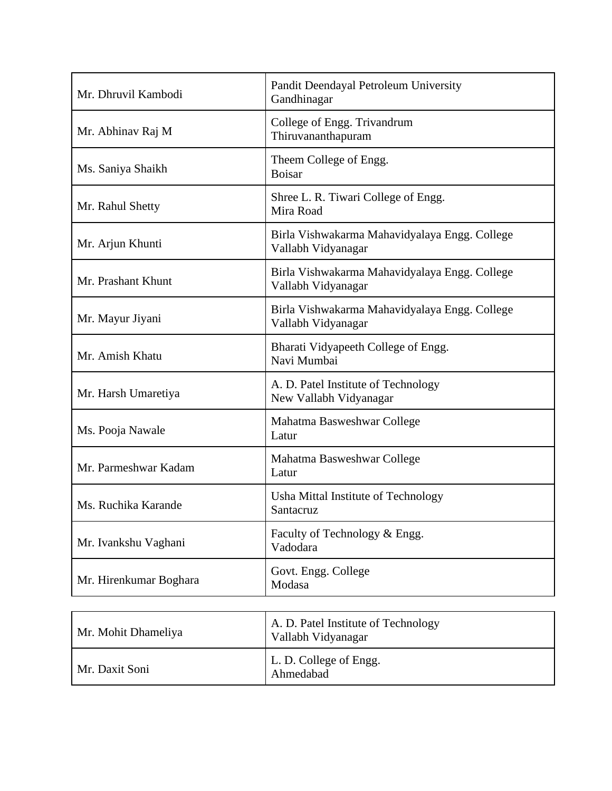| Mr. Dhruvil Kambodi    | Pandit Deendayal Petroleum University<br>Gandhinagar                |
|------------------------|---------------------------------------------------------------------|
| Mr. Abhinav Raj M      | College of Engg. Trivandrum<br>Thiruvananthapuram                   |
| Ms. Saniya Shaikh      | Theem College of Engg.<br><b>Boisar</b>                             |
| Mr. Rahul Shetty       | Shree L. R. Tiwari College of Engg.<br>Mira Road                    |
| Mr. Arjun Khunti       | Birla Vishwakarma Mahavidyalaya Engg. College<br>Vallabh Vidyanagar |
| Mr. Prashant Khunt     | Birla Vishwakarma Mahavidyalaya Engg. College<br>Vallabh Vidyanagar |
| Mr. Mayur Jiyani       | Birla Vishwakarma Mahavidyalaya Engg. College<br>Vallabh Vidyanagar |
| Mr. Amish Khatu        | Bharati Vidyapeeth College of Engg.<br>Navi Mumbai                  |
| Mr. Harsh Umaretiya    | A. D. Patel Institute of Technology<br>New Vallabh Vidyanagar       |
| Ms. Pooja Nawale       | Mahatma Basweshwar College<br>Latur                                 |
| Mr. Parmeshwar Kadam   | Mahatma Basweshwar College<br>Latur                                 |
| Ms. Ruchika Karande    | Usha Mittal Institute of Technology<br>Santacruz                    |
| Mr. Ivankshu Vaghani   | Faculty of Technology & Engg.<br>Vadodara                           |
| Mr. Hirenkumar Boghara | Govt. Engg. College<br>Modasa                                       |

| Mr. Mohit Dhameliya | A. D. Patel Institute of Technology<br>Vallabh Vidyanagar |
|---------------------|-----------------------------------------------------------|
| Mr. Daxit Soni      | L. D. College of Engg.<br>Ahmedabad                       |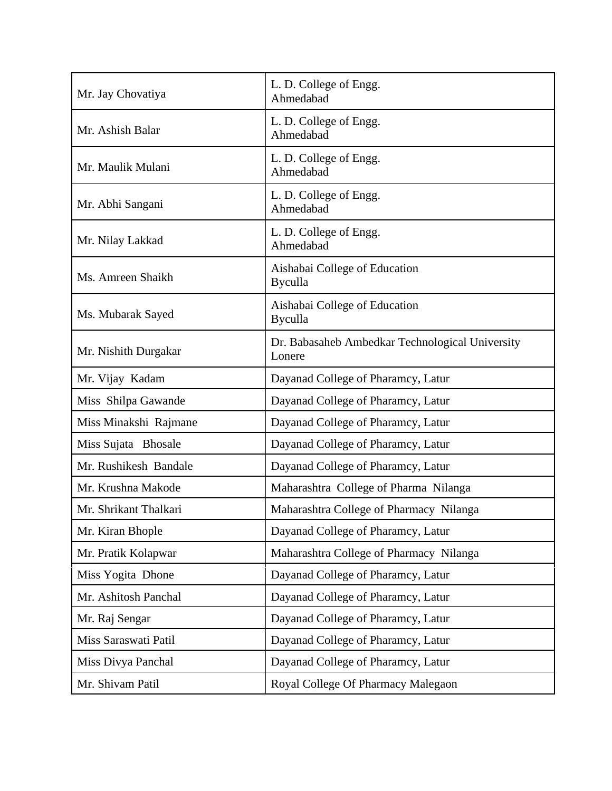| Mr. Jay Chovatiya     | L. D. College of Engg.<br>Ahmedabad                       |
|-----------------------|-----------------------------------------------------------|
| Mr. Ashish Balar      | L. D. College of Engg.<br>Ahmedabad                       |
| Mr. Maulik Mulani     | L. D. College of Engg.<br>Ahmedabad                       |
| Mr. Abhi Sangani      | L. D. College of Engg.<br>Ahmedabad                       |
| Mr. Nilay Lakkad      | L. D. College of Engg.<br>Ahmedabad                       |
| Ms. Amreen Shaikh     | Aishabai College of Education<br><b>Byculla</b>           |
| Ms. Mubarak Sayed     | Aishabai College of Education<br><b>Byculla</b>           |
| Mr. Nishith Durgakar  | Dr. Babasaheb Ambedkar Technological University<br>Lonere |
| Mr. Vijay Kadam       | Dayanad College of Pharamcy, Latur                        |
| Miss Shilpa Gawande   | Dayanad College of Pharamcy, Latur                        |
| Miss Minakshi Rajmane | Dayanad College of Pharamcy, Latur                        |
| Miss Sujata Bhosale   | Dayanad College of Pharamcy, Latur                        |
| Mr. Rushikesh Bandale | Dayanad College of Pharamcy, Latur                        |
| Mr. Krushna Makode    | Maharashtra College of Pharma Nilanga                     |
| Mr. Shrikant Thalkari | Maharashtra College of Pharmacy Nilanga                   |
| Mr. Kiran Bhople      | Dayanad College of Pharamcy, Latur                        |
| Mr. Pratik Kolapwar   | Maharashtra College of Pharmacy Nilanga                   |
| Miss Yogita Dhone     | Dayanad College of Pharamcy, Latur                        |
| Mr. Ashitosh Panchal  | Dayanad College of Pharamcy, Latur                        |
| Mr. Raj Sengar        | Dayanad College of Pharamcy, Latur                        |
| Miss Saraswati Patil  | Dayanad College of Pharamcy, Latur                        |
| Miss Divya Panchal    | Dayanad College of Pharamcy, Latur                        |
| Mr. Shivam Patil      | Royal College Of Pharmacy Malegaon                        |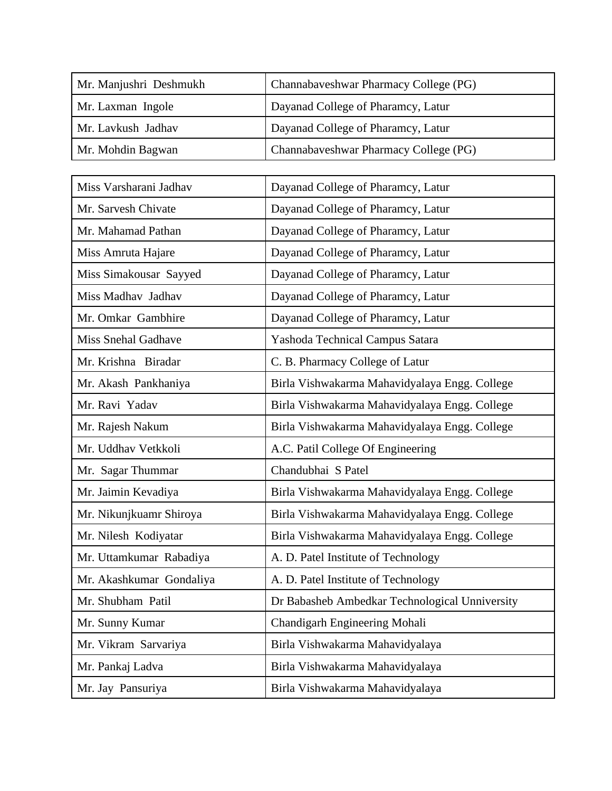| Mr. Manjushri Deshmukh | Channabaveshwar Pharmacy College (PG) |
|------------------------|---------------------------------------|
| Mr. Laxman Ingole      | Dayanad College of Pharamcy, Latur    |
| Mr. Lavkush Jadhav     | Dayanad College of Pharamcy, Latur    |
| Mr. Mohdin Bagwan      | Channabaveshwar Pharmacy College (PG) |

| Miss Varsharani Jadhav     | Dayanad College of Pharamcy, Latur             |
|----------------------------|------------------------------------------------|
| Mr. Sarvesh Chivate        | Dayanad College of Pharamcy, Latur             |
| Mr. Mahamad Pathan         | Dayanad College of Pharamcy, Latur             |
| Miss Amruta Hajare         | Dayanad College of Pharamcy, Latur             |
| Miss Simakousar Sayyed     | Dayanad College of Pharamcy, Latur             |
| Miss Madhav Jadhav         | Dayanad College of Pharamcy, Latur             |
| Mr. Omkar Gambhire         | Dayanad College of Pharamcy, Latur             |
| <b>Miss Snehal Gadhave</b> | Yashoda Technical Campus Satara                |
| Mr. Krishna Biradar        | C. B. Pharmacy College of Latur                |
| Mr. Akash Pankhaniya       | Birla Vishwakarma Mahavidyalaya Engg. College  |
| Mr. Ravi Yadav             | Birla Vishwakarma Mahavidyalaya Engg. College  |
| Mr. Rajesh Nakum           | Birla Vishwakarma Mahavidyalaya Engg. College  |
| Mr. Uddhav Vetkkoli        | A.C. Patil College Of Engineering              |
| Mr. Sagar Thummar          | Chandubhai S Patel                             |
| Mr. Jaimin Kevadiya        | Birla Vishwakarma Mahavidyalaya Engg. College  |
| Mr. Nikunjkuamr Shiroya    | Birla Vishwakarma Mahavidyalaya Engg. College  |
| Mr. Nilesh Kodiyatar       | Birla Vishwakarma Mahavidyalaya Engg. College  |
| Mr. Uttamkumar Rabadiya    | A. D. Patel Institute of Technology            |
| Mr. Akashkumar Gondaliya   | A. D. Patel Institute of Technology            |
| Mr. Shubham Patil          | Dr Babasheb Ambedkar Technological Unniversity |
| Mr. Sunny Kumar            | Chandigarh Engineering Mohali                  |
| Mr. Vikram Sarvariya       | Birla Vishwakarma Mahavidyalaya                |
| Mr. Pankaj Ladva           | Birla Vishwakarma Mahavidyalaya                |
| Mr. Jay Pansuriya          | Birla Vishwakarma Mahavidyalaya                |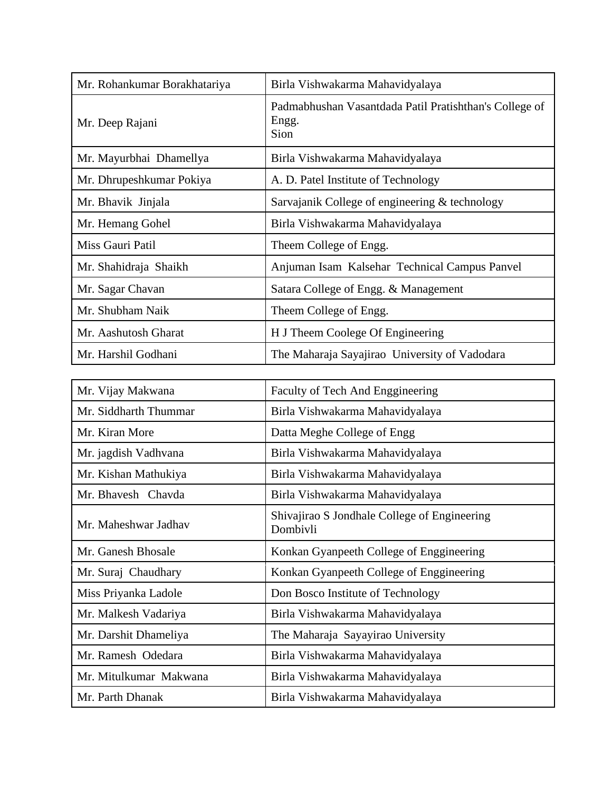| Mr. Rohankumar Borakhatariya | Birla Vishwakarma Mahavidyalaya                                         |
|------------------------------|-------------------------------------------------------------------------|
| Mr. Deep Rajani              | Padmabhushan Vasantdada Patil Pratishthan's College of<br>Engg.<br>Sion |
| Mr. Mayurbhai Dhamellya      | Birla Vishwakarma Mahavidyalaya                                         |
| Mr. Dhrupeshkumar Pokiya     | A. D. Patel Institute of Technology                                     |
| Mr. Bhavik Jinjala           | Sarvajanik College of engineering & technology                          |
| Mr. Hemang Gohel             | Birla Vishwakarma Mahavidyalaya                                         |
| Miss Gauri Patil             | Theem College of Engg.                                                  |
| Mr. Shahidraja Shaikh        | Anjuman Isam Kalsehar Technical Campus Panvel                           |
| Mr. Sagar Chavan             | Satara College of Engg. & Management                                    |
| Mr. Shubham Naik             | Theem College of Engg.                                                  |
| Mr. Aashutosh Gharat         | H J Theem Coolege Of Engineering                                        |
| Mr. Harshil Godhani          | The Maharaja Sayajirao University of Vadodara                           |

| Mr. Vijay Makwana      | Faculty of Tech And Enggineering                         |
|------------------------|----------------------------------------------------------|
| Mr. Siddharth Thummar  | Birla Vishwakarma Mahavidyalaya                          |
| Mr. Kiran More         | Datta Meghe College of Engg                              |
| Mr. jagdish Vadhvana   | Birla Vishwakarma Mahavidyalaya                          |
| Mr. Kishan Mathukiya   | Birla Vishwakarma Mahavidyalaya                          |
| Mr. Bhavesh Chavda     | Birla Vishwakarma Mahavidyalaya                          |
| Mr. Maheshwar Jadhav   | Shivajirao S Jondhale College of Engineering<br>Dombivli |
| Mr. Ganesh Bhosale     | Konkan Gyanpeeth College of Enggineering                 |
| Mr. Suraj Chaudhary    | Konkan Gyanpeeth College of Enggineering                 |
| Miss Priyanka Ladole   | Don Bosco Institute of Technology                        |
| Mr. Malkesh Vadariya   | Birla Vishwakarma Mahavidyalaya                          |
| Mr. Darshit Dhameliya  | The Maharaja Sayayirao University                        |
| Mr. Ramesh Odedara     | Birla Vishwakarma Mahavidyalaya                          |
| Mr. Mitulkumar Makwana | Birla Vishwakarma Mahavidyalaya                          |
| Mr. Parth Dhanak       | Birla Vishwakarma Mahavidyalaya                          |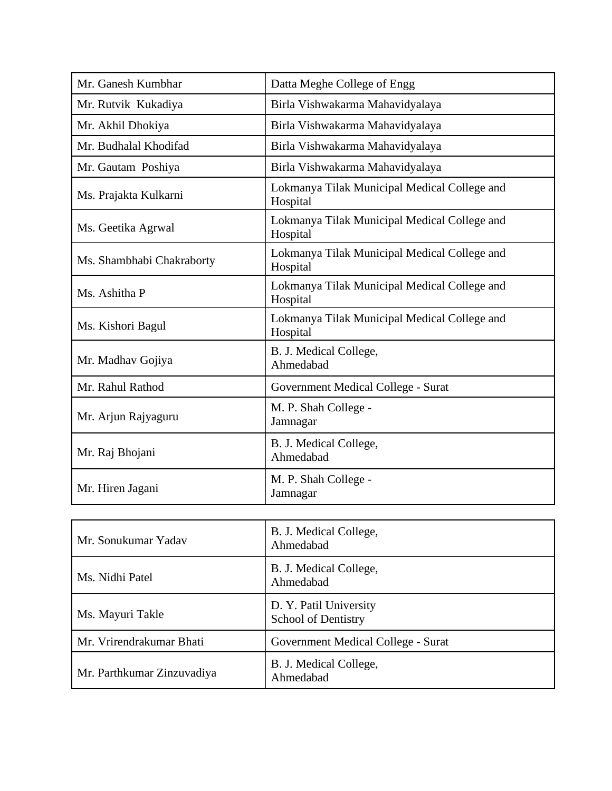| Mr. Ganesh Kumbhar        | Datta Meghe College of Engg                              |
|---------------------------|----------------------------------------------------------|
| Mr. Rutvik Kukadiya       | Birla Vishwakarma Mahavidyalaya                          |
| Mr. Akhil Dhokiya         | Birla Vishwakarma Mahavidyalaya                          |
| Mr. Budhalal Khodifad     | Birla Vishwakarma Mahavidyalaya                          |
| Mr. Gautam Poshiya        | Birla Vishwakarma Mahavidyalaya                          |
| Ms. Prajakta Kulkarni     | Lokmanya Tilak Municipal Medical College and<br>Hospital |
| Ms. Geetika Agrwal        | Lokmanya Tilak Municipal Medical College and<br>Hospital |
| Ms. Shambhabi Chakraborty | Lokmanya Tilak Municipal Medical College and<br>Hospital |
| Ms. Ashitha P             | Lokmanya Tilak Municipal Medical College and<br>Hospital |
| Ms. Kishori Bagul         | Lokmanya Tilak Municipal Medical College and<br>Hospital |
| Mr. Madhav Gojiya         | B. J. Medical College,<br>Ahmedabad                      |
| Mr. Rahul Rathod          | Government Medical College - Surat                       |
| Mr. Arjun Rajyaguru       | M. P. Shah College -<br>Jamnagar                         |
| Mr. Raj Bhojani           | B. J. Medical College,<br>Ahmedabad                      |
| Mr. Hiren Jagani          | M. P. Shah College -<br>Jamnagar                         |

| Mr. Sonukumar Yadav        | B. J. Medical College,<br>Ahmedabad                  |
|----------------------------|------------------------------------------------------|
| Ms. Nidhi Patel            | B. J. Medical College,<br>Ahmedabad                  |
| Ms. Mayuri Takle           | D. Y. Patil University<br><b>School of Dentistry</b> |
| Mr. Vrirendrakumar Bhati   | Government Medical College - Surat                   |
| Mr. Parthkumar Zinzuvadiya | B. J. Medical College,<br>Ahmedabad                  |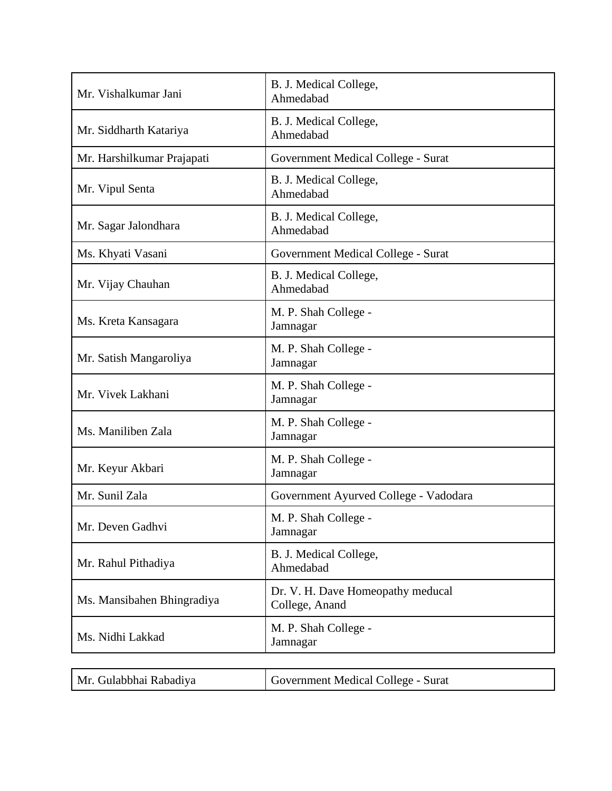| Mr. Vishalkumar Jani       | B. J. Medical College,<br>Ahmedabad                 |
|----------------------------|-----------------------------------------------------|
| Mr. Siddharth Katariya     | B. J. Medical College,<br>Ahmedabad                 |
| Mr. Harshilkumar Prajapati | Government Medical College - Surat                  |
| Mr. Vipul Senta            | B. J. Medical College,<br>Ahmedabad                 |
| Mr. Sagar Jalondhara       | B. J. Medical College,<br>Ahmedabad                 |
| Ms. Khyati Vasani          | Government Medical College - Surat                  |
| Mr. Vijay Chauhan          | B. J. Medical College,<br>Ahmedabad                 |
| Ms. Kreta Kansagara        | M. P. Shah College -<br>Jamnagar                    |
| Mr. Satish Mangaroliya     | M. P. Shah College -<br>Jamnagar                    |
| Mr. Vivek Lakhani          | M. P. Shah College -<br>Jamnagar                    |
| Ms. Maniliben Zala         | M. P. Shah College -<br>Jamnagar                    |
| Mr. Keyur Akbari           | M. P. Shah College -<br>Jamnagar                    |
| Mr. Sunil Zala             | Government Ayurved College - Vadodara               |
| Mr. Deven Gadhvi           | M. P. Shah College -<br>Jamnagar                    |
| Mr. Rahul Pithadiya        | B. J. Medical College,<br>Ahmedabad                 |
| Ms. Mansibahen Bhingradiya | Dr. V. H. Dave Homeopathy meducal<br>College, Anand |
| Ms. Nidhi Lakkad           | M. P. Shah College -<br>Jamnagar                    |
|                            |                                                     |

| Mr. Gulabbhai Rabadiya | Government Medical College - Surat |
|------------------------|------------------------------------|
|                        |                                    |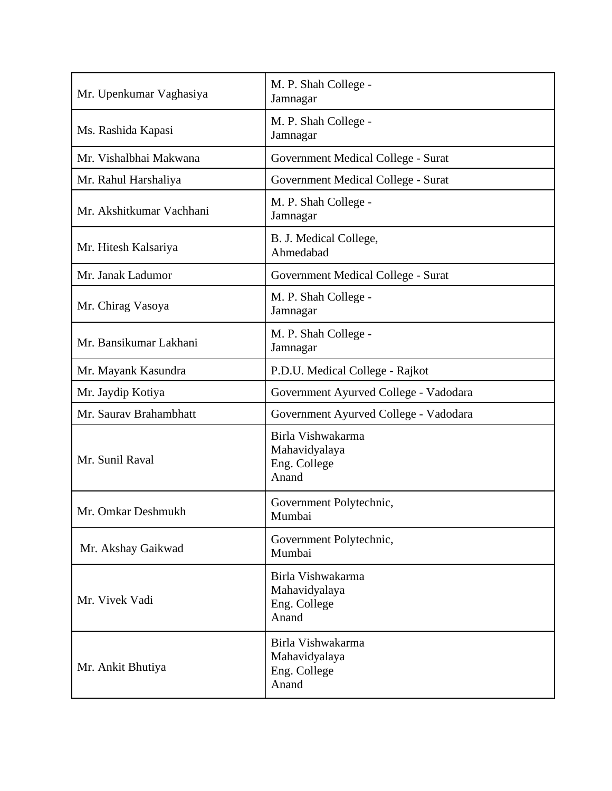| Mr. Upenkumar Vaghasiya  | M. P. Shah College -<br>Jamnagar                            |
|--------------------------|-------------------------------------------------------------|
| Ms. Rashida Kapasi       | M. P. Shah College -<br>Jamnagar                            |
| Mr. Vishalbhai Makwana   | Government Medical College - Surat                          |
| Mr. Rahul Harshaliya     | Government Medical College - Surat                          |
| Mr. Akshitkumar Vachhani | M. P. Shah College -<br>Jamnagar                            |
| Mr. Hitesh Kalsariya     | B. J. Medical College,<br>Ahmedabad                         |
| Mr. Janak Ladumor        | Government Medical College - Surat                          |
| Mr. Chirag Vasoya        | M. P. Shah College -<br>Jamnagar                            |
| Mr. Bansikumar Lakhani   | M. P. Shah College -<br>Jamnagar                            |
| Mr. Mayank Kasundra      | P.D.U. Medical College - Rajkot                             |
| Mr. Jaydip Kotiya        | Government Ayurved College - Vadodara                       |
| Mr. Saurav Brahambhatt   | Government Ayurved College - Vadodara                       |
| Mr. Sunil Raval          | Birla Vishwakarma<br>Mahavidyalaya<br>Eng. College<br>Anand |
| Mr. Omkar Deshmukh       | Government Polytechnic,<br>Mumbai                           |
| Mr. Akshay Gaikwad       | Government Polytechnic,<br>Mumbai                           |
| Mr. Vivek Vadi           | Birla Vishwakarma<br>Mahavidyalaya<br>Eng. College<br>Anand |
| Mr. Ankit Bhutiya        | Birla Vishwakarma<br>Mahavidyalaya<br>Eng. College<br>Anand |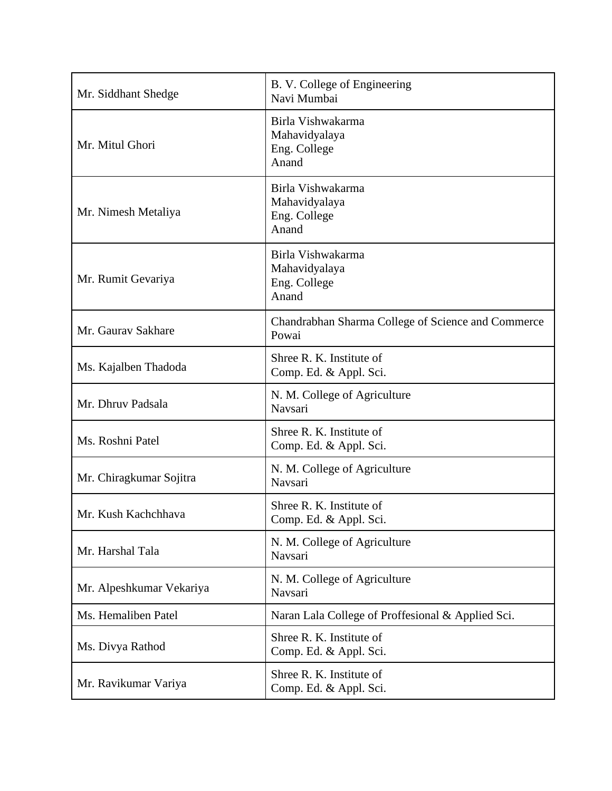| Mr. Siddhant Shedge      | B. V. College of Engineering<br>Navi Mumbai                 |
|--------------------------|-------------------------------------------------------------|
| Mr. Mitul Ghori          | Birla Vishwakarma<br>Mahavidyalaya<br>Eng. College<br>Anand |
| Mr. Nimesh Metaliya      | Birla Vishwakarma<br>Mahavidyalaya<br>Eng. College<br>Anand |
| Mr. Rumit Gevariya       | Birla Vishwakarma<br>Mahavidyalaya<br>Eng. College<br>Anand |
| Mr. Gaurav Sakhare       | Chandrabhan Sharma College of Science and Commerce<br>Powai |
| Ms. Kajalben Thadoda     | Shree R. K. Institute of<br>Comp. Ed. & Appl. Sci.          |
| Mr. Dhruv Padsala        | N. M. College of Agriculture<br>Navsari                     |
| Ms. Roshni Patel         | Shree R. K. Institute of<br>Comp. Ed. & Appl. Sci.          |
| Mr. Chiragkumar Sojitra  | N. M. College of Agriculture<br>Navsari                     |
| Mr. Kush Kachchhava      | Shree R. K. Institute of<br>Comp. Ed. & Appl. Sci.          |
| Mr. Harshal Tala         | N. M. College of Agriculture<br>Navsari                     |
| Mr. Alpeshkumar Vekariya | N. M. College of Agriculture<br>Navsari                     |
| Ms. Hemaliben Patel      | Naran Lala College of Proffesional & Applied Sci.           |
| Ms. Divya Rathod         | Shree R. K. Institute of<br>Comp. Ed. & Appl. Sci.          |
| Mr. Ravikumar Variya     | Shree R. K. Institute of<br>Comp. Ed. & Appl. Sci.          |